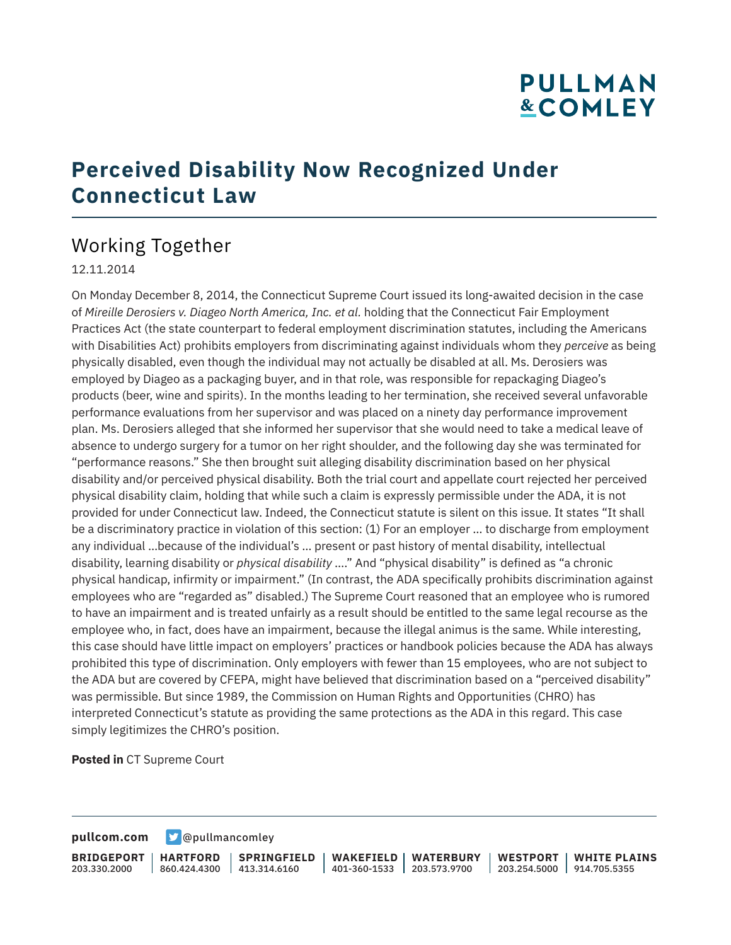# **PULLMAN &COMLEY**

## **Perceived Disability Now Recognized Under Connecticut Law**

## Working Together

#### 12.11.2014

On Monday December 8, 2014, the Connecticut Supreme Court issued its long-awaited decision in the case of *Mireille Derosiers v. Diageo North America, Inc. et al.* holding that the Connecticut Fair Employment Practices Act (the state counterpart to federal employment discrimination statutes, including the Americans with Disabilities Act) prohibits employers from discriminating against individuals whom they *perceive* as being physically disabled, even though the individual may not actually be disabled at all. Ms. Derosiers was employed by Diageo as a packaging buyer, and in that role, was responsible for repackaging Diageo's products (beer, wine and spirits). In the months leading to her termination, she received several unfavorable performance evaluations from her supervisor and was placed on a ninety day performance improvement plan. Ms. Derosiers alleged that she informed her supervisor that she would need to take a medical leave of absence to undergo surgery for a tumor on her right shoulder, and the following day she was terminated for "performance reasons." She then brought suit alleging disability discrimination based on her physical disability and/or perceived physical disability. Both the trial court and appellate court rejected her perceived physical disability claim, holding that while such a claim is expressly permissible under the ADA, it is not provided for under Connecticut law. Indeed, the Connecticut statute is silent on this issue. It states "It shall be a discriminatory practice in violation of this section: (1) For an employer … to discharge from employment any individual …because of the individual's … present or past history of mental disability, intellectual disability, learning disability or *physical disability* …." And "physical disability" is defined as "a chronic physical handicap, infirmity or impairment." (In contrast, the ADA specifically prohibits discrimination against employees who are "regarded as" disabled.) The Supreme Court reasoned that an employee who is rumored to have an impairment and is treated unfairly as a result should be entitled to the same legal recourse as the employee who, in fact, does have an impairment, because the illegal animus is the same. While interesting, this case should have little impact on employers' practices or handbook policies because the ADA has always prohibited this type of discrimination. Only employers with fewer than 15 employees, who are not subject to the ADA but are covered by CFEPA, might have believed that discrimination based on a "perceived disability" was permissible. But since 1989, the Commission on Human Rights and Opportunities (CHRO) has interpreted Connecticut's statute as providing the same protections as the ADA in this regard. This case simply legitimizes the CHRO's position.

**Posted in** CT Supreme Court

**[pullcom.com](https://www.pullcom.com) g** [@pullmancomley](https://twitter.com/PullmanComley)

**BRIDGEPORT** 203.330.2000 **HARTFORD** 860.424.4300 413.314.6160 **SPRINGFIELD WAKEFIELD** 401-360-1533 203.573.9700 **WATERBURY WESTPORT WHITE PLAINS** 203.254.5000 914.705.5355